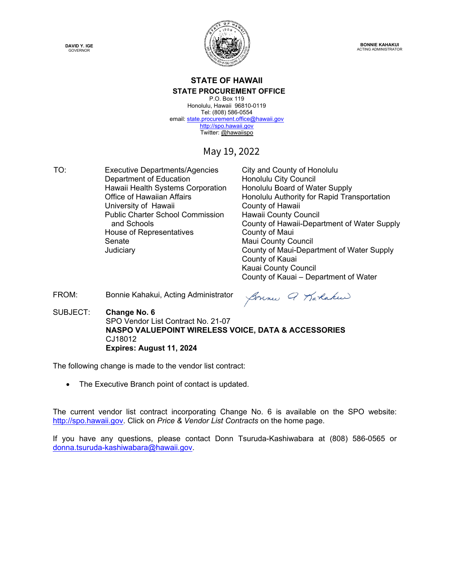**DAVID Y. IGE** GOVERNOR



**BONNIE KAHAKUI** ACTING ADMINISTRATOR

### **STATE OF HAWAII STATE PROCUREMENT OFFICE** P.O. Box 119

Honolulu, Hawaii 96810-0119 Tel: (808) 586-0554 email[: state.procurement.office@hawaii.gov](mailto:state.procurement.office@hawaii.gov) [http://spo.hawaii.gov](http://spo.hawaii.gov/) Twitter: [@hawaiispo](https://twitter.com/hawaiispo) 

# May 19, 2022

TO: Executive Departments/Agencies City and County of Honolulu Department of Education **Honolulu City Council** Hawaii Health Systems Corporation Honolulu Board of Water Supply University of Hawaii **County of Hawaii** Public Charter School Commission and Schools House of Representatives **County of Maui** Senate Maui County Council

Office of Hawaiian Affairs **Honolulu Authority for Rapid Transportation** Hawaii County Council County of Hawaii-Department of Water Supply Judiciary County of Maui-Department of Water Supply County of Kauai Kauai County Council County of Kauai – Department of Water

FROM: Bonnie Kahakui, Acting Administrator

Sonner Q Karakeer

SUBJECT: **Change No. 6**  SPO Vendor List Contract No. 21-07  **NASPO VALUEPOINT WIRELESS VOICE, DATA & ACCESSORIES** CJ18012  **Expires: August 11, 2024**

The following change is made to the vendor list contract:

• The Executive Branch point of contact is updated.

The current vendor list contract incorporating Change No. 6 is available on the SPO website: [http://spo.hawaii.gov.](http://spo.hawaii.gov/) Click on *Price & Vendor List Contracts* on the home page.

If you have any questions, please contact Donn Tsuruda-Kashiwabara at (808) 586-0565 or [donna.tsuruda-kashiwabara@hawaii.gov.](mailto:donna.tsuruda-kashiwabara@hawaii.gov)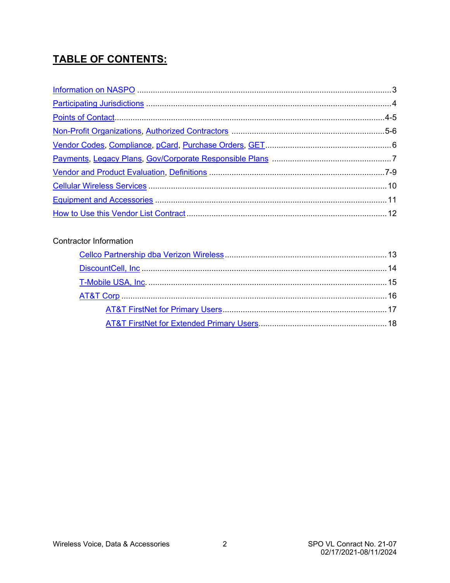# **TABLE OF CONTENTS:**

# Contractor Information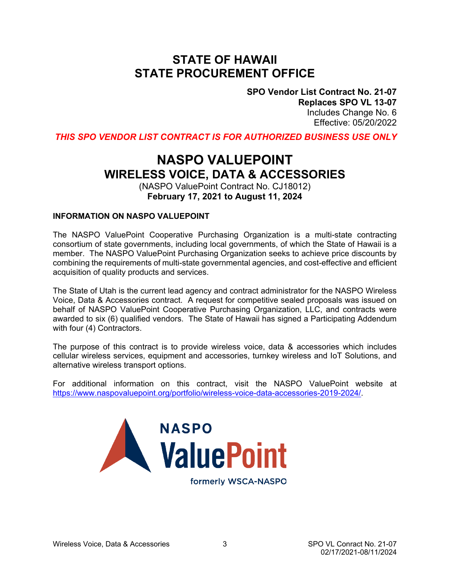# **STATE OF HAWAII STATE PROCUREMENT OFFICE**

**SPO Vendor List Contract No. 21-07 Replaces SPO VL 13-07** Includes Change No. 6 Effective: 05/20/2022

<span id="page-2-0"></span>*THIS SPO VENDOR LIST CONTRACT IS FOR AUTHORIZED BUSINESS USE ONLY*

# **NASPO VALUEPOINT WIRELESS VOICE, DATA & ACCESSORIES**

(NASPO ValuePoint Contract No. CJ18012) **February 17, 2021 to August 11, 2024**

### **INFORMATION ON NASPO VALUEPOINT**

The NASPO ValuePoint Cooperative Purchasing Organization is a multi-state contracting consortium of state governments, including local governments, of which the State of Hawaii is a member. The NASPO ValuePoint Purchasing Organization seeks to achieve price discounts by combining the requirements of multi-state governmental agencies, and cost-effective and efficient acquisition of quality products and services.

The State of Utah is the current lead agency and contract administrator for the NASPO Wireless Voice, Data & Accessories contract. A request for competitive sealed proposals was issued on behalf of NASPO ValuePoint Cooperative Purchasing Organization, LLC, and contracts were awarded to six (6) qualified vendors. The State of Hawaii has signed a Participating Addendum with four (4) Contractors.

The purpose of this contract is to provide wireless voice, data & accessories which includes cellular wireless services, equipment and accessories, turnkey wireless and IoT Solutions, and alternative wireless transport options.

For additional information on this contract, visit the NASPO ValuePoint website at [https://www.naspovaluepoint.org/portfolio/wireless-voice-data-accessories-2019-2024/.](https://www.naspovaluepoint.org/portfolio/wireless-voice-data-accessories-2019-2024/)



formerly WSCA-NASPO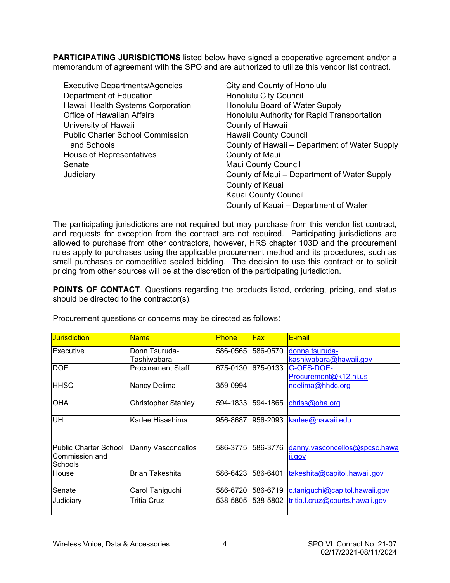<span id="page-3-0"></span>**PARTICIPATING JURISDICTIONS** listed below have signed a cooperative agreement and/or a memorandum of agreement with the SPO and are authorized to utilize this vendor list contract.

| City and County of Honolulu                   |
|-----------------------------------------------|
| Honolulu City Council                         |
| Honolulu Board of Water Supply                |
| Honolulu Authority for Rapid Transportation   |
| County of Hawaii                              |
| <b>Hawaii County Council</b>                  |
| County of Hawaii – Department of Water Supply |
| County of Maui                                |
| <b>Maui County Council</b>                    |
| County of Maui – Department of Water Supply   |
| County of Kauai                               |
| Kauai County Council                          |
| County of Kauai - Department of Water         |
|                                               |

The participating jurisdictions are not required but may purchase from this vendor list contract, and requests for exception from the contract are not required. Participating jurisdictions are allowed to purchase from other contractors, however, HRS chapter 103D and the procurement rules apply to purchases using the applicable procurement method and its procedures, such as small purchases or competitive sealed bidding. The decision to use this contract or to solicit pricing from other sources will be at the discretion of the participating jurisdiction.

**POINTS OF CONTACT**. Questions regarding the products listed, ordering, pricing, and status should be directed to the contractor(s).

| <b>Jurisdiction</b>   | <b>Name</b>              | <b>Phone</b> | Fax       | E-mail                          |
|-----------------------|--------------------------|--------------|-----------|---------------------------------|
| <b>Executive</b>      | Donn Tsuruda-            | 586-0565     | 1586-0570 | donna.tsuruda-                  |
|                       | Tashiwabara              |              |           | kashiwabara@hawaii.gov          |
| <b>DOE</b>            | <b>Procurement Staff</b> | 675-0130     | 675-0133  | G-OFS-DOE-                      |
|                       |                          |              |           | Procurement@k12.hi.us           |
| <b>IHHSC</b>          | Nancy Delima             | 359-0994     |           | ndelima@hhdc.org                |
|                       |                          |              |           |                                 |
| OHA                   | Christopher Stanley      | 594-1833     | 1594-1865 | chriss@oha.org                  |
|                       |                          |              |           |                                 |
| UH                    | Karlee Hisashima         | 956-8687     | 956-2093  | karlee@hawaii.edu               |
|                       |                          |              |           |                                 |
|                       |                          |              |           |                                 |
| Public Charter School | Danny Vasconcellos       | 586-3775     | 586-3776  | danny.vasconcellos@spcsc.hawa   |
| Commission and        |                          |              |           | ii.gov                          |
| <b>Schools</b>        |                          |              |           |                                 |
| <b>House</b>          | <b>Brian Takeshita</b>   | 586-6423     | 586-6401  | takeshita@capitol.hawaii.gov    |
|                       |                          |              |           |                                 |
| Senate                | Carol Taniguchi          | 586-6720     | 586-6719  | c.taniguchi@capitol.hawaii.gov  |
| Judiciary             | Tritia Cruz              | 538-5805     | 1538-5802 | tritia.l.cruz@courts.hawaii.gov |
|                       |                          |              |           |                                 |
|                       |                          |              |           |                                 |

Procurement questions or concerns may be directed as follows: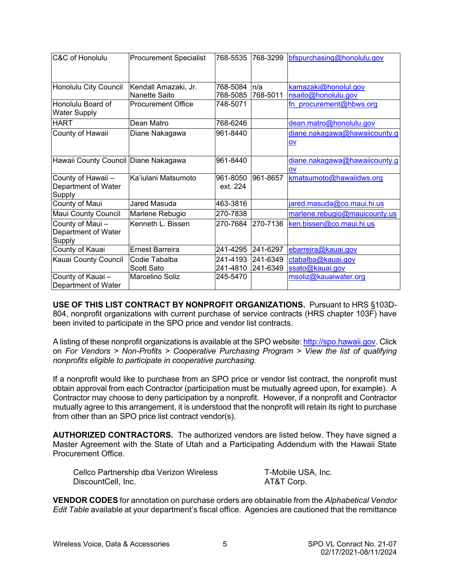<span id="page-4-0"></span>

| C&C of Honolulu                          | <b>Procurement Specialist</b> | 768-5535 | 768-3299 | bfspurchasing@honolulu.gov    |
|------------------------------------------|-------------------------------|----------|----------|-------------------------------|
|                                          |                               |          |          |                               |
| Honolulu City Council                    | Kendall Amazaki, Jr.          | 768-5084 | ln/a     | kamazaki@honolul.gov          |
|                                          | Nanette Saito                 | 768-5085 | 768-5011 | nsaito@honolulu.gov           |
| Honolulu Board of<br><b>Water Supply</b> | <b>Procurement Office</b>     | 748-5071 |          | fn procurement@hbws.org       |
| <b>HART</b>                              | Dean Matro                    | 768-6246 |          | dean.matro@honolulu.gov       |
| County of Hawaii                         | Diane Nakagawa                | 961-8440 |          | diane.nakagawa@hawaiicounty.g |
|                                          |                               |          |          | OV                            |
| Hawaii County Council Diane Nakagawa     |                               | 961-8440 |          | diane.nakagawa@hawaiicounty.g |
|                                          |                               |          |          | OV                            |
| County of Hawaii -                       | Ka'iulani Matsumoto           | 961-8050 | 961-8657 | kmatsumoto@hawaiidws.org      |
| Department of Water<br>Supply            |                               | ext. 224 |          |                               |
| County of Maui                           | Jared Masuda                  | 463-3816 |          | jared.masuda@co.maui.hi.us    |
| Maui County Council                      | Marlene Rebugio               | 270-7838 |          | marlene.rebugio@mauicounty.us |
| County of Maui-                          | Kenneth L. Bissen             | 270-7684 | 270-7136 | ken.bissen@co.maui.hi.us      |
| Department of Water                      |                               |          |          |                               |
| Supply                                   | Ernest Barreira               | 241-4295 | 241-6297 |                               |
| County of Kauai                          |                               |          |          | ebarreira@kauai.gov           |
| Kauai County Council                     | Codie Tabalba                 | 241-4193 | 241-6349 | ctabalba@kauai.gov            |
|                                          | Scott Sato                    | 241-4810 | 241-6349 | ssato@kauai.gov               |
| County of Kauai-                         | Marcelino Soliz               | 245-5470 |          | msoliz@kauaiwater.org         |
| Department of Water                      |                               |          |          |                               |

**USE OF THIS LIST CONTRACT BY NONPROFIT ORGANIZATIONS.** Pursuant to HRS §103D-804, nonprofit organizations with current purchase of service contracts (HRS chapter 103F) have been invited to participate in the SPO price and vendor list contracts.

A listing of these nonprofit organizations is available at the SPO website: [http://spo.hawaii.gov.](http://spo.hawaii.gov/) Click on *For Vendors > Non-Profits > Cooperative Purchasing Program > View the list of qualifying nonprofits eligible to participate in cooperative purchasing.*

If a nonprofit would like to purchase from an SPO price or vendor list contract, the nonprofit must obtain approval from each Contractor (participation must be mutually agreed upon, for example). A Contractor may choose to deny participation by a nonprofit. However, if a nonprofit and Contractor mutually agree to this arrangement, it is understood that the nonprofit will retain its right to purchase from other than an SPO price list contract vendor(s).

**AUTHORIZED CONTRACTORS.** The authorized vendors are listed below. They have signed a Master Agreement with the State of Utah and a Participating Addendum with the Hawaii State Procurement Office.

| Cellco Partnership dba Verizon Wireless | T-Mobile USA, Inc. |
|-----------------------------------------|--------------------|
| DiscountCell, Inc.                      | AT&T Corp.         |

**VENDOR CODES** for annotation on purchase orders are obtainable from the *Alphabetical Vendor Edit Table* available at your department's fiscal office. Agencies are cautioned that the remittance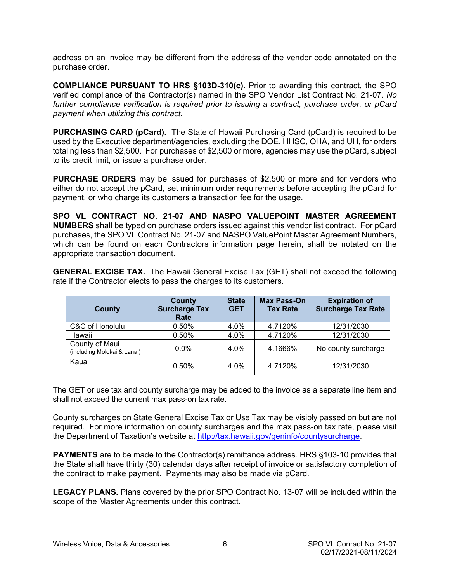<span id="page-5-0"></span>address on an invoice may be different from the address of the vendor code annotated on the purchase order.

**COMPLIANCE PURSUANT TO HRS §103D-310(c).** Prior to awarding this contract, the SPO verified compliance of the Contractor(s) named in the SPO Vendor List Contract No. 21-07. *No further compliance verification is required prior to issuing a contract, purchase order, or pCard payment when utilizing this contract.*

**PURCHASING CARD (pCard).** The State of Hawaii Purchasing Card (pCard) is required to be used by the Executive department/agencies, excluding the DOE, HHSC, OHA, and UH, for orders totaling less than \$2,500. For purchases of \$2,500 or more, agencies may use the pCard, subject to its credit limit, or issue a purchase order.

**PURCHASE ORDERS** may be issued for purchases of \$2,500 or more and for vendors who either do not accept the pCard, set minimum order requirements before accepting the pCard for payment, or who charge its customers a transaction fee for the usage.

**SPO VL CONTRACT NO. 21-07 AND NASPO VALUEPOINT MASTER AGREEMENT NUMBERS** shall be typed on purchase orders issued against this vendor list contract. For pCard purchases, the SPO VL Contract No. 21-07 and NASPO ValuePoint Master Agreement Numbers, which can be found on each Contractors information page herein, shall be notated on the appropriate transaction document.

**GENERAL EXCISE TAX.** The Hawaii General Excise Tax (GET) shall not exceed the following rate if the Contractor elects to pass the charges to its customers.

| County                                        | County<br><b>Surcharge Tax</b><br>Rate | <b>State</b><br><b>GET</b> | <b>Max Pass-On</b><br><b>Tax Rate</b> | <b>Expiration of</b><br><b>Surcharge Tax Rate</b> |
|-----------------------------------------------|----------------------------------------|----------------------------|---------------------------------------|---------------------------------------------------|
| C&C of Honolulu                               | 0.50%                                  | 4.0%                       | 4.7120%                               | 12/31/2030                                        |
| Hawaii                                        | 0.50%                                  | 4.0%                       | 4.7120%                               | 12/31/2030                                        |
| County of Maui<br>(including Molokai & Lanai) | $0.0\%$                                | 4.0%                       | 4.1666%                               | No county surcharge                               |
| Kauai                                         | 0.50%                                  | 4.0%                       | 4.7120%                               | 12/31/2030                                        |

The GET or use tax and county surcharge may be added to the invoice as a separate line item and shall not exceed the current max pass-on tax rate.

County surcharges on State General Excise Tax or Use Tax may be visibly passed on but are not required. For more information on county surcharges and the max pass-on tax rate, please visit the Department of Taxation's website at [http://tax.hawaii.gov/geninfo/countysurcharge.](http://tax.hawaii.gov/geninfo/countysurcharge)

**PAYMENTS** are to be made to the Contractor(s) remittance address. HRS §103-10 provides that the State shall have thirty (30) calendar days after receipt of invoice or satisfactory completion of the contract to make payment. Payments may also be made via pCard.

**LEGACY PLANS.** Plans covered by the prior SPO Contract No. 13-07 will be included within the scope of the Master Agreements under this contract.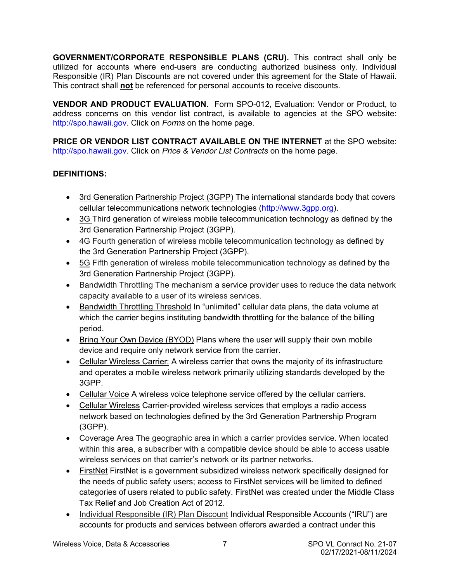<span id="page-6-0"></span>**GOVERNMENT/CORPORATE RESPONSIBLE PLANS (CRU).** This contract shall only be utilized for accounts where end-users are conducting authorized business only. Individual Responsible (IR) Plan Discounts are not covered under this agreement for the State of Hawaii. This contract shall **not** be referenced for personal accounts to receive discounts.

**VENDOR AND PRODUCT EVALUATION.** Form SPO-012, Evaluation: Vendor or Product, to address concerns on this vendor list contract, is available to agencies at the SPO website: [http://spo.hawaii.gov.](http://spo.hawaii.gov/) Click on *Forms* on the home page.

**PRICE OR VENDOR LIST CONTRACT AVAILABLE ON THE INTERNET** at the SPO website: [http://spo.hawaii.gov.](http://spo.hawaii.gov/) Click on *Price & Vendor List Contracts* on the home page.

## **DEFINITIONS:**

- 3rd Generation Partnership Project (3GPP) The international standards body that covers cellular telecommunications network technologies (http://www.3gpp.org).
- 3G Third generation of wireless mobile telecommunication technology as defined by the 3rd Generation Partnership Project (3GPP).
- 4G Fourth generation of wireless mobile telecommunication technology as defined by the 3rd Generation Partnership Project (3GPP).
- 5G Fifth generation of wireless mobile telecommunication technology as defined by the 3rd Generation Partnership Project (3GPP).
- Bandwidth Throttling The mechanism a service provider uses to reduce the data network capacity available to a user of its wireless services.
- Bandwidth Throttling Threshold In "unlimited" cellular data plans, the data volume at which the carrier begins instituting bandwidth throttling for the balance of the billing period.
- Bring Your Own Device (BYOD) Plans where the user will supply their own mobile device and require only network service from the carrier.
- Cellular Wireless Carrier: A wireless carrier that owns the majority of its infrastructure and operates a mobile wireless network primarily utilizing standards developed by the 3GPP.
- Cellular Voice A wireless voice telephone service offered by the cellular carriers.
- Cellular Wireless Carrier-provided wireless services that employs a radio access network based on technologies defined by the 3rd Generation Partnership Program (3GPP).
- Coverage Area The geographic area in which a carrier provides service. When located within this area, a subscriber with a compatible device should be able to access usable wireless services on that carrier's network or its partner networks.
- FirstNet FirstNet is a government subsidized wireless network specifically designed for the needs of public safety users; access to FirstNet services will be limited to defined categories of users related to public safety. FirstNet was created under the Middle Class Tax Relief and Job Creation Act of 2012.
- Individual Responsible (IR) Plan Discount Individual Responsible Accounts ("IRU") are accounts for products and services between offerors awarded a contract under this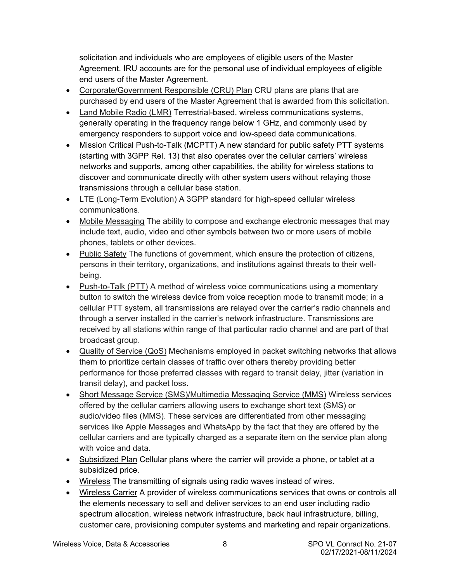solicitation and individuals who are employees of eligible users of the Master Agreement. IRU accounts are for the personal use of individual employees of eligible end users of the Master Agreement.

- Corporate/Government Responsible (CRU) Plan CRU plans are plans that are purchased by end users of the Master Agreement that is awarded from this solicitation.
- Land Mobile Radio (LMR) Terrestrial-based, wireless communications systems, generally operating in the frequency range below 1 GHz, and commonly used by emergency responders to support voice and low-speed data communications.
- Mission Critical Push-to-Talk (MCPTT) A new standard for public safety PTT systems (starting with 3GPP Rel. 13) that also operates over the cellular carriers' wireless networks and supports, among other capabilities, the ability for wireless stations to discover and communicate directly with other system users without relaying those transmissions through a cellular base station.
- LTE (Long-Term Evolution) A 3GPP standard for high-speed cellular wireless communications.
- Mobile Messaging The ability to compose and exchange electronic messages that may include text, audio, video and other symbols between two or more users of mobile phones, tablets or other devices.
- Public Safety The functions of government, which ensure the protection of citizens, persons in their territory, organizations, and institutions against threats to their wellbeing.
- Push-to-Talk (PTT) A method of wireless voice communications using a momentary button to switch the wireless device from voice reception mode to transmit mode; in a cellular PTT system, all transmissions are relayed over the carrier's radio channels and through a server installed in the carrier's network infrastructure. Transmissions are received by all stations within range of that particular radio channel and are part of that broadcast group.
- Quality of Service (QoS) Mechanisms employed in packet switching networks that allows them to prioritize certain classes of traffic over others thereby providing better performance for those preferred classes with regard to transit delay, jitter (variation in transit delay), and packet loss.
- Short Message Service (SMS)/Multimedia Messaging Service (MMS) Wireless services offered by the cellular carriers allowing users to exchange short text (SMS) or audio/video files (MMS). These services are differentiated from other messaging services like Apple Messages and WhatsApp by the fact that they are offered by the cellular carriers and are typically charged as a separate item on the service plan along with voice and data.
- Subsidized Plan Cellular plans where the carrier will provide a phone, or tablet at a subsidized price.
- Wireless The transmitting of signals using radio waves instead of wires.
- Wireless Carrier A provider of wireless communications services that owns or controls all the elements necessary to sell and deliver services to an end user including radio spectrum allocation, wireless network infrastructure, back haul infrastructure, billing, customer care, provisioning computer systems and marketing and repair organizations.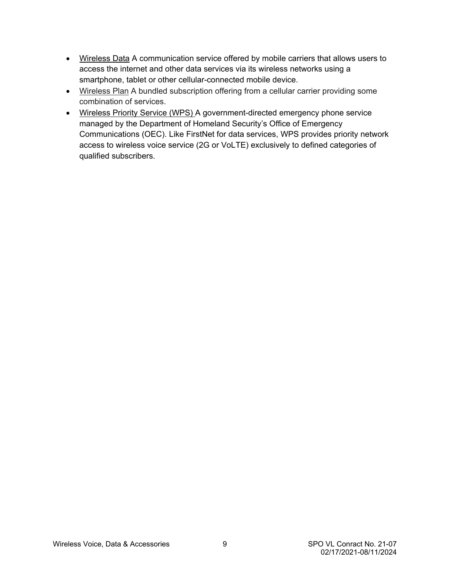- Wireless Data A communication service offered by mobile carriers that allows users to access the internet and other data services via its wireless networks using a smartphone, tablet or other cellular-connected mobile device.
- Wireless Plan A bundled subscription offering from a cellular carrier providing some combination of services.
- Wireless Priority Service (WPS) A government-directed emergency phone service managed by the Department of Homeland Security's Office of Emergency Communications (OEC). Like FirstNet for data services, WPS provides priority network access to wireless voice service (2G or VoLTE) exclusively to defined categories of qualified subscribers.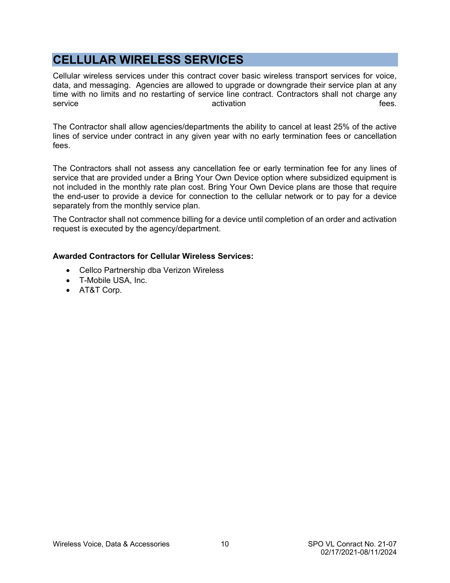# <span id="page-9-0"></span>**CELLULAR WIRELESS SERVICES**

Cellular wireless services under this contract cover basic wireless transport services for voice, data, and messaging. Agencies are allowed to upgrade or downgrade their service plan at any time with no limits and no restarting of service line contract. Contractors shall not charge any service **activation** activation activation active activation activation and the set of the set of the set of the s

The Contractor shall allow agencies/departments the ability to cancel at least 25% of the active lines of service under contract in any given year with no early termination fees or cancellation fees.

The Contractors shall not assess any cancellation fee or early termination fee for any lines of service that are provided under a Bring Your Own Device option where subsidized equipment is not included in the monthly rate plan cost. Bring Your Own Device plans are those that require the end-user to provide a device for connection to the cellular network or to pay for a device separately from the monthly service plan.

The Contractor shall not commence billing for a device until completion of an order and activation request is executed by the agency/department.

## **Awarded Contractors for Cellular Wireless Services:**

- Cellco Partnership dba Verizon Wireless
- T-Mobile USA, Inc.
- AT&T Corp.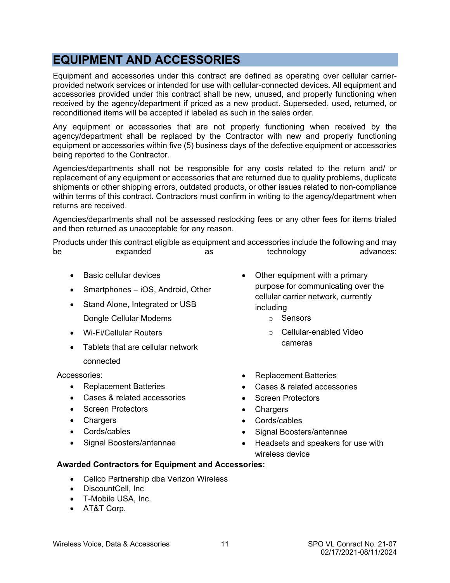# <span id="page-10-0"></span>**EQUIPMENT AND ACCESSORIES**

Equipment and accessories under this contract are defined as operating over cellular carrierprovided network services or intended for use with cellular-connected devices. All equipment and accessories provided under this contract shall be new, unused, and properly functioning when received by the agency/department if priced as a new product. Superseded, used, returned, or reconditioned items will be accepted if labeled as such in the sales order.

Any equipment or accessories that are not properly functioning when received by the agency/department shall be replaced by the Contractor with new and properly functioning equipment or accessories within five (5) business days of the defective equipment or accessories being reported to the Contractor.

Agencies/departments shall not be responsible for any costs related to the return and/ or replacement of any equipment or accessories that are returned due to quality problems, duplicate shipments or other shipping errors, outdated products, or other issues related to non-compliance within terms of this contract. Contractors must confirm in writing to the agency/department when returns are received.

Agencies/departments shall not be assessed restocking fees or any other fees for items trialed and then returned as unacceptable for any reason.

Products under this contract eligible as equipment and accessories include the following and may be expanded as technology advances:

- Basic cellular devices
- Smartphones iOS, Android, Other
- Stand Alone, Integrated or USB Dongle Cellular Modems
- Wi-Fi/Cellular Routers
- Tablets that are cellular network connected

Accessories:

- Replacement Batteries
- Cases & related accessories
- Screen Protectors
- Chargers
- Cords/cables
- Signal Boosters/antennae
- Other equipment with a primary purpose for communicating over the cellular carrier network, currently including
	- o Sensors
	- o Cellular-enabled Video cameras
- Replacement Batteries
- Cases & related accessories
- Screen Protectors
- Chargers
- Cords/cables
- Signal Boosters/antennae
- Headsets and speakers for use with wireless device

## **Awarded Contractors for Equipment and Accessories:**

- Cellco Partnership dba Verizon Wireless
- DiscountCell, Inc
- T-Mobile USA, Inc.
- AT&T Corp.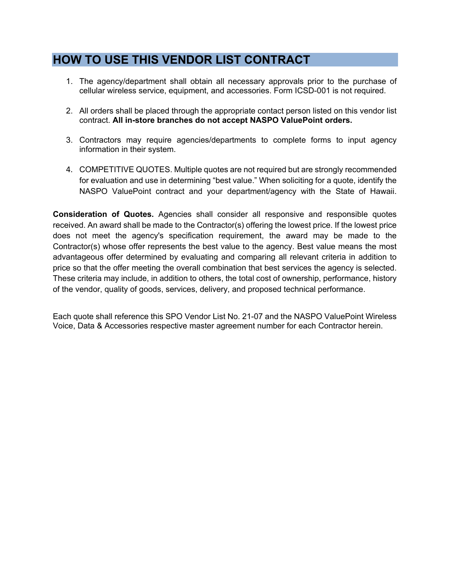# <span id="page-11-0"></span>**HOW TO USE THIS VENDOR LIST CONTRACT**

- 1. The agency/department shall obtain all necessary approvals prior to the purchase of cellular wireless service, equipment, and accessories. Form ICSD-001 is not required.
- 2. All orders shall be placed through the appropriate contact person listed on this vendor list contract. **All in-store branches do not accept NASPO ValuePoint orders.**
- 3. Contractors may require agencies/departments to complete forms to input agency information in their system.
- 4. COMPETITIVE QUOTES. Multiple quotes are not required but are strongly recommended for evaluation and use in determining "best value." When soliciting for a quote, identify the NASPO ValuePoint contract and your department/agency with the State of Hawaii.

**Consideration of Quotes.** Agencies shall consider all responsive and responsible quotes received. An award shall be made to the Contractor(s) offering the lowest price. If the lowest price does not meet the agency's specification requirement, the award may be made to the Contractor(s) whose offer represents the best value to the agency. Best value means the most advantageous offer determined by evaluating and comparing all relevant criteria in addition to price so that the offer meeting the overall combination that best services the agency is selected. These criteria may include, in addition to others, the total cost of ownership, performance, history of the vendor, quality of goods, services, delivery, and proposed technical performance.

Each quote shall reference this SPO Vendor List No. 21-07 and the NASPO ValuePoint Wireless Voice, Data & Accessories respective master agreement number for each Contractor herein.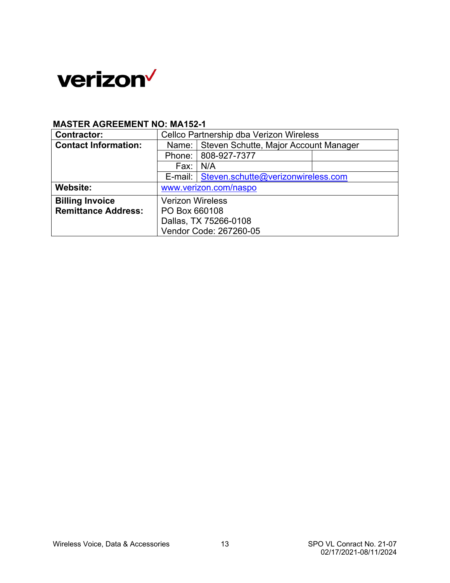<span id="page-12-0"></span>

# **MASTER AGREEMENT NO: MA152-1**

| <b>Contractor:</b>          | Cellco Partnership dba Verizon Wireless       |                                              |  |
|-----------------------------|-----------------------------------------------|----------------------------------------------|--|
| <b>Contact Information:</b> | Name:   Steven Schutte, Major Account Manager |                                              |  |
|                             | Phone: 808-927-7377                           |                                              |  |
|                             | Fax:                                          | N/A                                          |  |
|                             |                                               | E-mail:   Steven.schutte@verizonwireless.com |  |
| Website:                    | www.verizon.com/naspo                         |                                              |  |
| <b>Billing Invoice</b>      | <b>Verizon Wireless</b>                       |                                              |  |
| <b>Remittance Address:</b>  | PO Box 660108                                 |                                              |  |
|                             | Dallas, TX 75266-0108                         |                                              |  |
|                             | Vendor Code: 267260-05                        |                                              |  |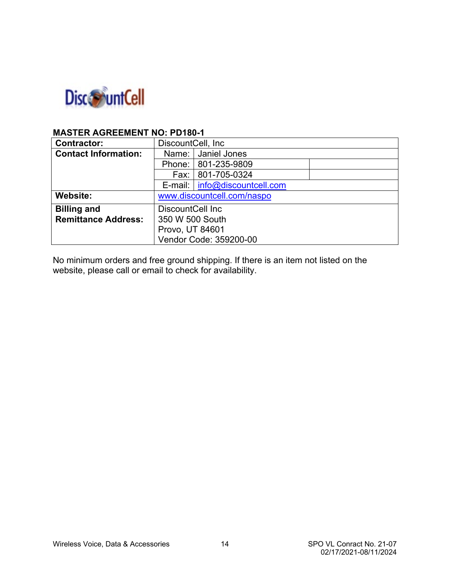

## **MASTER AGREEMENT NO: PD180-1**

| <b>Contractor:</b>          | DiscountCell, Inc.         |                                 |  |
|-----------------------------|----------------------------|---------------------------------|--|
| <b>Contact Information:</b> | Name: Janiel Jones         |                                 |  |
|                             |                            | Phone: 801-235-9809             |  |
|                             |                            | Fax: 801-705-0324               |  |
|                             |                            | E-mail:   info@discountcell.com |  |
| <b>Website:</b>             | www.discountcell.com/naspo |                                 |  |
| <b>Billing and</b>          | DiscountCell Inc           |                                 |  |
| <b>Remittance Address:</b>  | 350 W 500 South            |                                 |  |
|                             | Provo, UT 84601            |                                 |  |
|                             | Vendor Code: 359200-00     |                                 |  |

No minimum orders and free ground shipping. If there is an item not listed on the website, please call or email to check for availability.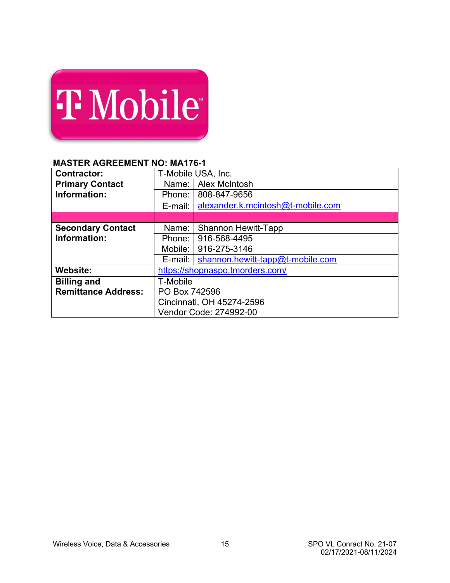<span id="page-14-0"></span>

| <b>T</b> Mobile |  |
|-----------------|--|
|                 |  |
|                 |  |

# **MASTER AGREEMENT NO: MA176-1**

| <b>Contractor:</b>         |                           | T-Mobile USA, Inc.                           |  |
|----------------------------|---------------------------|----------------------------------------------|--|
| <b>Primary Contact</b>     | Name:                     | <b>Alex McIntosh</b>                         |  |
| Information:               | Phone:                    | 808-847-9656                                 |  |
|                            | E-mail:                   | alexander.k.mcintosh@t-mobile.com            |  |
|                            |                           |                                              |  |
| <b>Secondary Contact</b>   | Name:                     | <b>Shannon Hewitt-Tapp</b>                   |  |
| Information:               | Phone:                    | 916-568-4495                                 |  |
|                            | 916-275-3146<br>Mobile: I |                                              |  |
|                            |                           | E-mail: $ $ shannon.hewitt-tapp@t-mobile.com |  |
| Website:                   |                           | https://shopnaspo.tmorders.com/              |  |
| <b>Billing and</b>         | T-Mobile                  |                                              |  |
| <b>Remittance Address:</b> | PO Box 742596             |                                              |  |
|                            | Cincinnati, OH 45274-2596 |                                              |  |
|                            | Vendor Code: 274992-00    |                                              |  |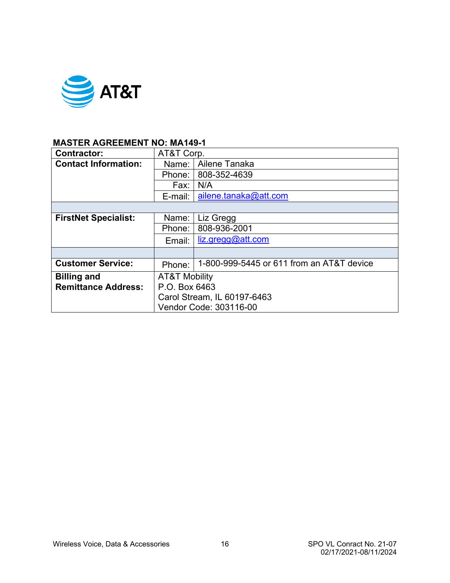<span id="page-15-0"></span>

## **MASTER AGREEMENT NO: MA149-1**

| <b>Contractor:</b>          | AT&T Corp.                  |                                           |  |
|-----------------------------|-----------------------------|-------------------------------------------|--|
|                             |                             |                                           |  |
| <b>Contact Information:</b> | Name:                       | Ailene Tanaka                             |  |
|                             | Phone: I                    | 808-352-4639                              |  |
|                             | Fax:                        | N/A                                       |  |
|                             | E-mail:                     | ailene.tanaka@att.com                     |  |
|                             |                             |                                           |  |
| <b>FirstNet Specialist:</b> | Name:                       | Liz Gregg                                 |  |
|                             | Phone:                      | 808-936-2001                              |  |
|                             | Email:                      | liz.gregQQatt.com                         |  |
|                             |                             |                                           |  |
| <b>Customer Service:</b>    | Phone:                      | 1-800-999-5445 or 611 from an AT&T device |  |
| <b>Billing and</b>          | <b>AT&amp;T Mobility</b>    |                                           |  |
| <b>Remittance Address:</b>  | P.O. Box 6463               |                                           |  |
|                             | Carol Stream, IL 60197-6463 |                                           |  |
|                             | Vendor Code: 303116-00      |                                           |  |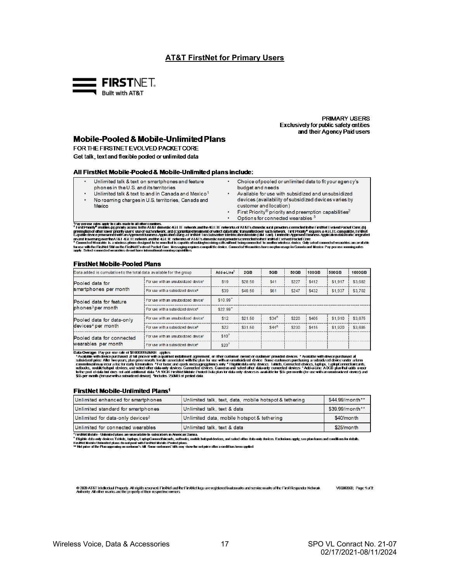### **AT&T FirstNet for Primary Users**

<span id="page-16-0"></span>

**PRIMARY USERS Exclusively for public safety entities** and their Agency Paid users

### **Mobile-Pooled & Mobile-Unlimited Plans**

FOR THE FIRSTNET EVOLVED PACKET CORE Get talk, text and flexible pooled or unlimited data

#### All FirstNet Mobile-Pooled & Mobile-Unlimited plans include:

- Unlimited talk & text on smartphones and feature phones in the U.S. and its territories
- Unlimited talk & text to and in Canada and Mexico<sup>1</sup>
- $\overline{a}$ No roaming charges in U.S. territories, Canada and **Mexico**
- Choice of pooled or unlimited data to fit your agency's budget and needs
- Available for use with subsidized and unsubsidized devices (availability of subsidized devices varies by customer and location)
- First Priority® priority and preemption capabilities<sup>2</sup>  $\ddot{\phantom{0}}$ Options for connected wearables 3

Pay person rates apply to cats made to all other counties.<br><sup>1</sup>Pay person rates apply to cats made to all other counties.<br>**This Phone for the set of section of the AT& during the CLUE makers of AT&T's during the set of a se** 

#### **FirstNet Mobile-Pooled Plans**

| Data added is cumulative to the total data available for the group |                                                  | Add-a-Line <sup>5</sup> | 2GB     | 5GB     | <b>50GB</b> | $100$ GB | 500GB   | <b>1000GB</b> |
|--------------------------------------------------------------------|--------------------------------------------------|-------------------------|---------|---------|-------------|----------|---------|---------------|
| Pooled data for                                                    | For use with an unsubsidized device <sup>1</sup> | \$19                    | \$28.50 | \$41    | \$227       | \$412    | \$1,917 | \$3,682       |
| smartphones per month                                              | For use with a subsidized device?                | \$39                    | \$48.50 | \$61    | \$247       | \$432    | \$1,937 | \$3.702       |
| Pooled data for feature                                            | For use with an unsubsidized device <sup>1</sup> | $$10.99$ <sup>-</sup>   |         |         |             |          |         |               |
| phones <sup>3</sup> per month                                      | For use with a subsidized device <sup>2</sup>    | $$22.99$ <sup>-</sup>   |         |         |             |          |         |               |
| Pooled data for data-only                                          | For use with an unsubsidized device <sup>1</sup> | \$12                    | \$21.50 | $$34^6$ | \$220       | \$405    | \$1.910 | \$3.675       |
| devices <sup>4</sup> per month                                     | For use with a subsidized device <sup>2</sup>    | \$22                    | \$31.50 | $$44^6$ | \$230       | \$415    | \$1,920 | \$3.685       |
| Pooled data for connected                                          | For use with an unsubsidized device <sup>1</sup> | \$10 <sup>7</sup>       |         |         |             |          |         |               |
| wearables per month                                                | For use with a subsidized device <sup>2</sup>    | \$20 <sup>7</sup>       |         |         |             |          |         |               |

**Data Overage Pay per-use rate of \$0.0000863669 applies**<br>"Available with device purchased at full price or with a qualities installment agreement, or direct culture content provided devices. "Available with device purchase

#### FirstNet Mobile-Unlimited Plans<sup>1</sup>

| Unlimited enhanced for smartphones           | Unlimited talk, text, data, mobile hotspot & tethering | \$44.99/month** |
|----------------------------------------------|--------------------------------------------------------|-----------------|
| Unlimited standard for smartphones           | Unlimited talk, text & data                            | \$39.99/month** |
| Unlimited for data-only devices <sup>2</sup> | Unlimited data, mobile hotspot & tethering             | \$40/month      |
| Unlimited for connected wearables            | Unlimited talk, text & data                            | \$25/month      |

FirsINet Mobile - Unlimited plans are unavailable to subscribers in American Samoa

" Havia avac-vannero patrice tables, industrial and a statement of the statement of the data only devices. Exclusions apply, see plan lems and conditions for details<br>Tristled data only devices Tables, laphos with Franklink

0 200 AT&T Irickstizi Projety. All right ieseved Fiishti aufte Firsheting are registredtratmark aufsevice mark ofte First Responter Network<br>Adhorly. All oher marks are the properly of their respective owners.

Wireless Voice, Data & Accessories

V03302020; Page 1 of 2